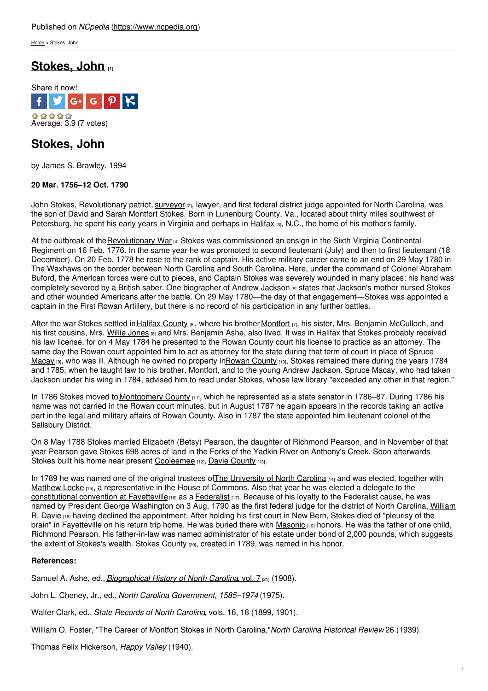[Home](https://www.ncpedia.org/) > Stokes, John

# **[Stokes,](https://www.ncpedia.org/biography/stokes-john) John [1]**



# **Stokes, John**

by James S. Brawley, 1994

## **20 Mar. 1756–12 Oct. 1790**

John Stokes, Revolutionary patriot, [surveyor](https://www.ncpedia.org/surveyors) <sub>[2]</sub>, lawyer, and first federal district judge appointed for North Carolina, was the son of David and Sarah Montfort Stokes. Born in Lunenburg County, Va., located about thirty miles southwest of Petersburg, he spent his early years in [Virginia](http://www.social9.com) and perhaps in [Halifax](https://www.ncpedia.org/halifax) [3], N.C., the home of his mother's family.

At the outbreak of the[Revolutionary](https://www.ncpedia.org/american-revolution) War [4] Stokes was commissioned an ensign in the Sixth Virginia Continental Regiment on 16 Feb. 1776. In the same year he was promoted to second lieutenant (July) and then to first lieutenant (18 December). On 20 Feb. 1778 he rose to the rank of captain. His active military career came to an end on 29 May 1780 in The Waxhaws on the border between North Carolina and South Carolina. Here, under the command of Colonel Abraham Buford, the American forces were cut to pieces, and Captain Stokes was severely wounded in many places; his hand was completely severed by a British saber. One biographer of Andrew [Jackson](https://www.ncpedia.org/jackson-andrew) [5] states that Jackson's mother nursed Stokes and other wounded Americans after the battle. On 29 May 1780—the day of that engagement—Stokes was appointed a captain in the First Rowan Artillery, but there is no record of his participation in any further battles.

After the war Stokes settled in Halifax [County](https://www.ncpedia.org/geography/halifax) [6], where his brother [Montfort](https://www.ncpedia.org/biography/stokes-montfort) [7], his sister, Mrs. Benjamin McCulloch, and his first cousins, Mrs. Willie [Jones](https://www.ncpedia.org/biography/jones-willie) [8] and Mrs. Benjamin Ashe, also lived. It was in Halifax that Stokes probably received his law license, for on 4 May 1784 he presented to the Rowan County court his license to practice as an attorney. The same day the Rowan court [appointed](https://www.ncpedia.org/biography/macay-spruce) him to act as attorney for the state during that term of court in place of Spruce Macay [9], who was ill. Although he owned no property i[nRowan](https://www.ncpedia.org/geography/rowan) County [10], Stokes remained there during the years 1784 and 1785, when he taught law to his brother, Montfort, and to the young Andrew Jackson. Spruce Macay, who had taken Jackson under his wing in 1784, advised him to read under Stokes, whose law library "exceeded any other in that region."

In 1786 Stokes moved to [Montgomery](https://www.ncpedia.org/geography/montgomery) County [11], which he represented as a state senator in 1786–87. During 1786 his name was not carried in the Rowan court minutes, but in August 1787 he again appears in the records taking an active part in the legal and military affairs of Rowan County. Also in 1787 the state appointed him lieutenant colonel of the Salisbury District.

On 8 May 1788 Stokes married Elizabeth (Betsy) Pearson, the daughter of Richmond Pearson, and in November of that year Pearson gave Stokes 698 acres of land in the Forks of the Yadkin River on Anthony's Creek. Soon afterwards Stokes built his home near present [Cooleemee](https://www.ncpedia.org/cooleemee-plantation) [12], Davie [County](https://www.ncpedia.org/geography/davie) [13].

In 1789 he was named one of the original trustees of The [University](https://www.ncpedia.org/university-north-carolina-chapel-hi) of North Carolina [14] and was elected, together with [Matthew](https://www.ncpedia.org/biography/locke-matthew) Locke [15], a representative in the House of Commons. Also that year he was elected a delegate to the [constitutional](https://www.ncpedia.org/government/convention-1789) convention at Fayetteville  $\mu_{0}$  as a [Federalist](https://www.ncpedia.org/federalist-party)  $\mu_{7}$ . Because of his loyalty to the Federalist cause, he was named by President George Washington on 3 Aug. 1790 as the first federal judge for the district of North Carolina, William R. Davie [18] having declined the [appointment.](https://www.ncpedia.org/biography/davie-william-richardson) After holding his first court in New Bern, Stokes died of "pleurisy of the brain" in Fayetteville on his return trip home. He was buried there with [Masonic](https://www.ncpedia.org/freemasons) [19] honors. He was the father of one child, Richmond Pearson. His father-in-law was named administrator of his estate under bond of 2,000 pounds, which suggests the extent of Stokes's wealth. Stokes [County](https://www.ncpedia.org/geography/stokes)  $_{[20]}$ , created in 1789, was named in his honor.

### **References:**

Samuel A. Ashe, ed., *[Biographical](https://archive.org/stream/cu31924092215494#page/n665/mode/2up) History of North Carolina*, vol. 7 [21] (1908).

John L. Cheney, Jr., ed., *North Carolina Government, 1585–1974* (1975).

Walter Clark, ed., *State Records of North Carolina*, vols. 16, 18 (1899, 1901).

William O. Foster, "The Career of Montfort Stokes in North Carolina,"*North Carolina Historical Review* 26 (1939).

Thomas Felix Hickerson, *Happy Valley* (1940).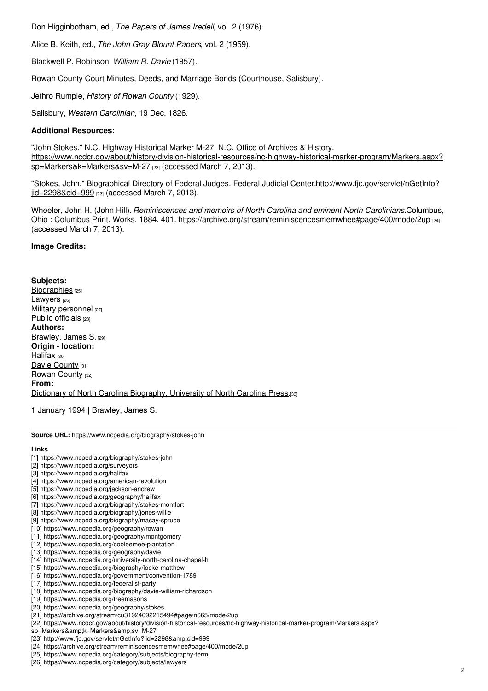Don Higginbotham, ed., *The Papers of James Iredell*, vol. 2 (1976).

Alice B. Keith, ed., *The John Gray Blount Papers*, vol. 2 (1959).

Blackwell P. Robinson, *William R. Davie* (1957).

Rowan County Court Minutes, Deeds, and Marriage Bonds (Courthouse, Salisbury).

Jethro Rumple, *History of Rowan County* (1929).

Salisbury, *Western Carolinian*, 19 Dec. 1826.

### **Additional Resources:**

"John Stokes." N.C. Highway Historical Marker M-27, N.C. Office of Archives & History. [https://www.ncdcr.gov/about/history/division-historical-resources/nc-highway-historical-marker-program/Markers.aspx?](https://www.ncdcr.gov/about/history/division-historical-resources/nc-highway-historical-marker-program/Markers.aspx?sp=Markers&k=Markers&sv=M-27) sp=Markers&k=Markers&sv=M-27 [22] (accessed March 7, 2013).

"Stokes, John." Biographical Directory of Federal Judges. Federal Judicial [Center.http://www.fjc.gov/servlet/nGetInfo?](http://www.fjc.gov/servlet/nGetInfo?jid=2298&cid=999) jid=2298&cid=999 [23] (accessed March 7, 2013).

Wheeler, John H. (John Hill). *Reminiscences and memoirs of North Carolina and eminent North Carolinians.*Columbus, Ohio: Columbus Print. Works. 1884. 401. <https://archive.org/stream/reminiscencesmemwhee#page/400/mode/2up> [24] (accessed March 7, 2013).

#### **Image Credits:**

**Subjects:** [Biographies](https://www.ncpedia.org/category/subjects/biography-term) [25] [Lawyers](https://www.ncpedia.org/category/subjects/lawyers) [26] Military [personnel](https://www.ncpedia.org/category/subjects/soldiers) [27] Public [officials](https://www.ncpedia.org/category/subjects/public-officials) [28] **Authors:** [Brawley,](https://www.ncpedia.org/category/authors/brawley-james-s) James S. [29] **Origin - location:** [Halifax](https://www.ncpedia.org/category/origin-location/halifax) [30] Davie [County](https://www.ncpedia.org/category/origin-location/piedmon-12) [31] [Rowan](https://www.ncpedia.org/category/origin-location/piedmon-13) County [32] **From:** Dictionary of North Carolina [Biography,](https://www.ncpedia.org/category/entry-source/dictionary-no) University of North Carolina Press.[33]

1 January 1994 | Brawley, James S.

**Source URL:** https://www.ncpedia.org/biography/stokes-john

#### **Links**

- [1] https://www.ncpedia.org/biography/stokes-john
- [2] https://www.ncpedia.org/surveyors
- [3] https://www.ncpedia.org/halifax
- [4] https://www.ncpedia.org/american-revolution
- [5] https://www.ncpedia.org/jackson-andrew
- [6] https://www.ncpedia.org/geography/halifax
- [7] https://www.ncpedia.org/biography/stokes-montfort
- [8] https://www.ncpedia.org/biography/jones-willie [9] https://www.ncpedia.org/biography/macay-spruce
- [10] https://www.ncpedia.org/geography/rowan
- [11] https://www.ncpedia.org/geography/montgomery
- [12] https://www.ncpedia.org/cooleemee-plantation
- [13] https://www.ncpedia.org/geography/davie
- [14] https://www.ncpedia.org/university-north-carolina-chapel-hi
- [15] https://www.ncpedia.org/biography/locke-matthew
- [16] https://www.ncpedia.org/government/convention-1789
- [17] https://www.ncpedia.org/federalist-party
- [18] https://www.ncpedia.org/biography/davie-william-richardson
- [19] https://www.ncpedia.org/freemasons
- [20] https://www.ncpedia.org/geography/stokes
- [21] https://archive.org/stream/cu31924092215494#page/n665/mode/2up
- [22] https://www.ncdcr.gov/about/history/division-historical-resources/nc-highway-historical-marker-program/Markers.aspx?
- sp=Markers&k=Markers&sv=M-27
- [23] http://www.fjc.gov/servlet/nGetInfo?jid=2298&cid=999
- [24] https://archive.org/stream/reminiscencesmemwhee#page/400/mode/2up
- [25] https://www.ncpedia.org/category/subjects/biography-term
- [26] https://www.ncpedia.org/category/subjects/lawyers